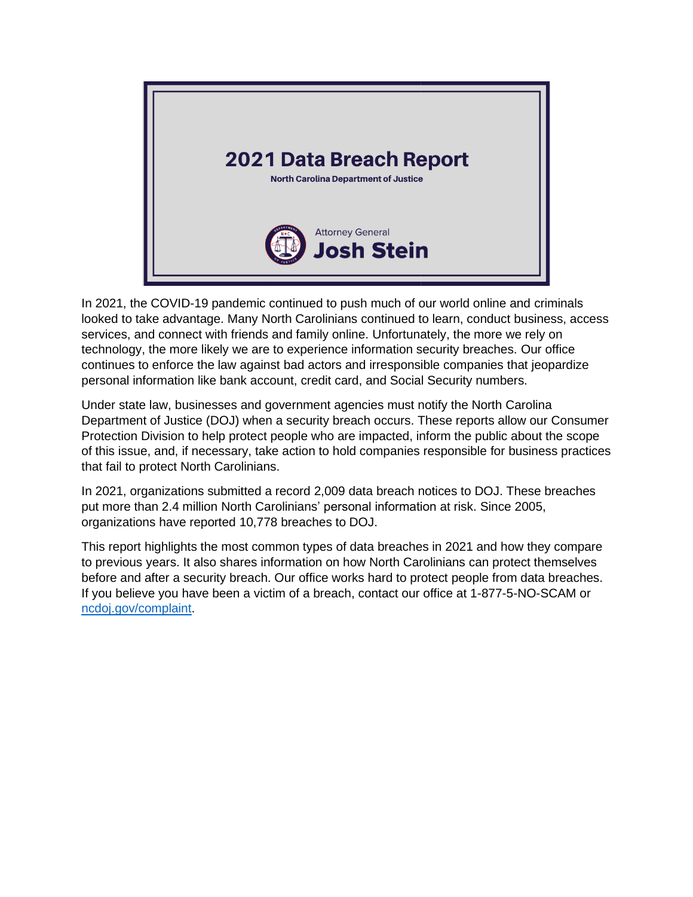

In 2021, the COVID-19 pandemic continued to push much of our world online and criminals looked to take advantage. Many North Carolinians continued to learn, conduct business, access services, and connect with friends and family online. Unfortunately, the more we rely on technology, the more likely we are to experience information security breaches. Our office continues to enforce the law against bad actors and irresponsible companies that jeopardize personal information like bank account, credit card, and Social Security numbers.

Under state law, businesses and government agencies must notify the North Carolina Department of Justice (DOJ) when a security breach occurs. These reports allow our Consumer Protection Division to help protect people who are impacted, inform the public about the scope of this issue, and, if necessary, take action to hold companies responsible for business practices that fail to protect North Carolinians.

In 2021, organizations submitted a record 2,009 data breach notices to DOJ. These breaches put more than 2.4 million North Carolinians' personal information at risk. Since 2005, organizations have reported 10,778 breaches to DOJ.

This report highlights the most common types of data breaches in 2021 and how they compare to previous years. It also shares information on how North Carolinians can protect themselves before and after a security breach. Our office works hard to protect people from data breaches. If you believe you have been a victim of a breach, contact our office at 1-877-5-NO-SCAM or [ncdoj.gov/complaint.](https://ncdoj.gov/file-a-complaint/)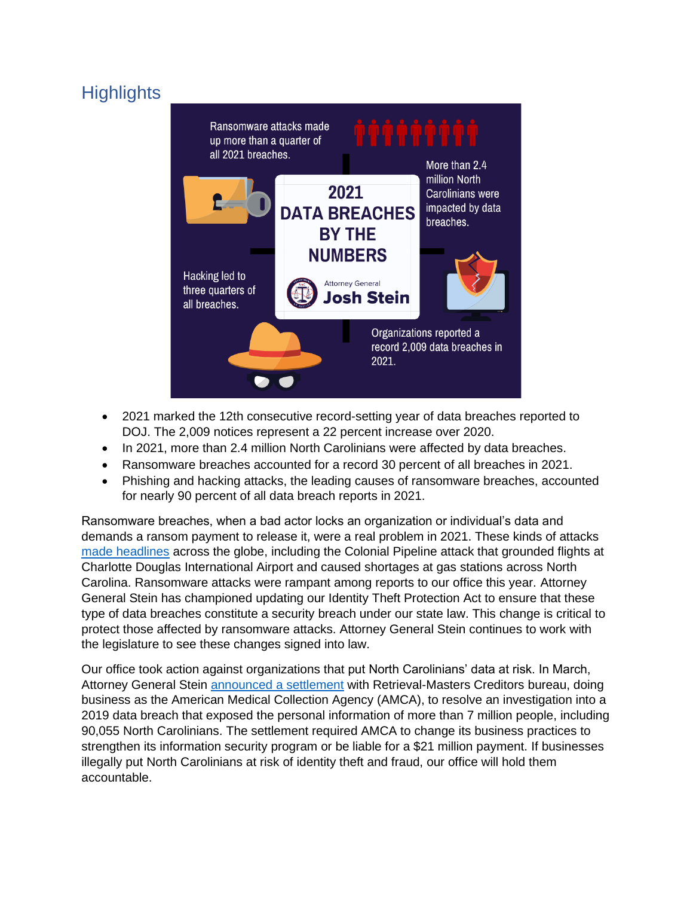# **Highlights**



- 2021 marked the 12th consecutive record-setting year of data breaches reported to DOJ. The 2,009 notices represent a 22 percent increase over 2020.
- In 2021, more than 2.4 million North Carolinians were affected by data breaches.
- Ransomware breaches accounted for a record 30 percent of all breaches in 2021.
- Phishing and hacking attacks, the leading causes of ransomware breaches, accounted for nearly 90 percent of all data breach reports in 2021.

Ransomware breaches, when a bad actor locks an organization or individual's data and demands a ransom payment to release it, were a real problem in 2021. These kinds of attacks [made headlines](https://www.techtarget.com/searchsecurity/feature/The-biggest-ransomware-attacks-this-year) across the globe, including the Colonial Pipeline attack that grounded flights at Charlotte Douglas International Airport and caused shortages at gas stations across North Carolina. Ransomware attacks were rampant among reports to our office this year. Attorney General Stein has championed updating our Identity Theft Protection Act to ensure that these type of data breaches constitute a security breach under our state law. This change is critical to protect those affected by ransomware attacks. Attorney General Stein continues to work with the legislature to see these changes signed into law.

Our office took action against organizations that put North Carolinians' data at risk. In March, Attorney General Stein [announced a settlement](https://ncdoj.gov/attorney-general-josh-stein-announces-settlement-over-american-medical-collection-agency-data-breach/) with Retrieval-Masters Creditors bureau, doing business as the American Medical Collection Agency (AMCA), to resolve an investigation into a 2019 data breach that exposed the personal information of more than 7 million people, including 90,055 North Carolinians. The settlement required AMCA to change its business practices to strengthen its information security program or be liable for a \$21 million payment. If businesses illegally put North Carolinians at risk of identity theft and fraud, our office will hold them accountable.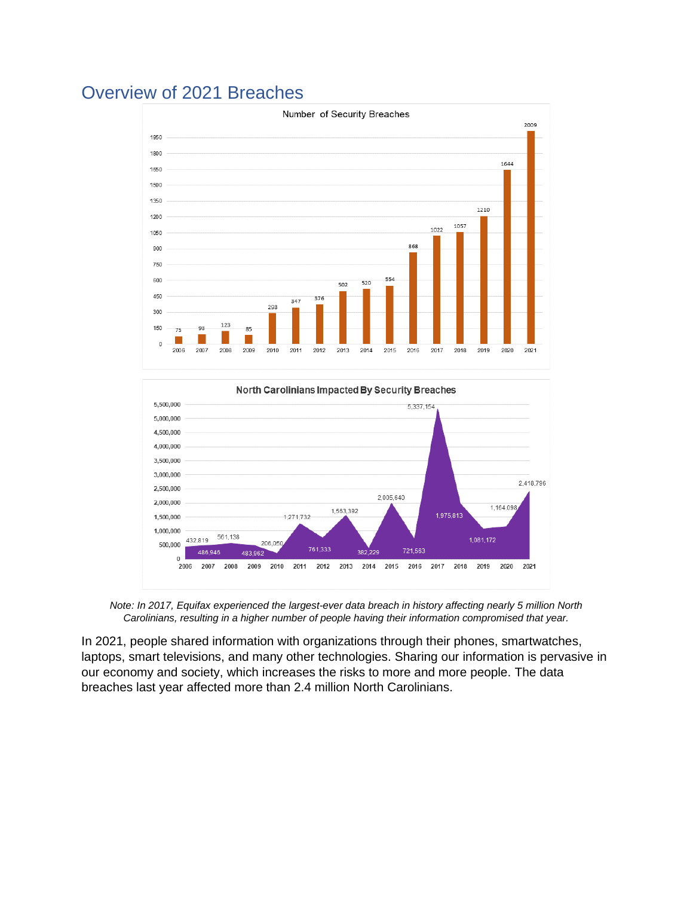## Overview of 2021 Breaches

3,500,000 3,000,000

2,500,000

2,000,000

1,500,000

1,000,000

500,000

 $\sqrt{2}$ 2006 2007

561.138

2008

483

2009 2010

432.819

486.946



*Note: In 2017, Equifax experienced the largest-ever data breach in history affecting nearly 5 million North Carolinians, resulting in a higher number of people having their information compromised that year.*

1,563,392

382.229

2014 2015

1,271,732

2011

761.333

2012 2013

206.050

2,005,640

721,563

2016 2017 2,418,796

1,164,098

2020 2021

1,081,172

1,975,813

2018 2019

In 2021, people shared information with organizations through their phones, smartwatches, laptops, smart televisions, and many other technologies. Sharing our information is pervasive in our economy and society, which increases the risks to more and more people. The data breaches last year affected more than 2.4 million North Carolinians.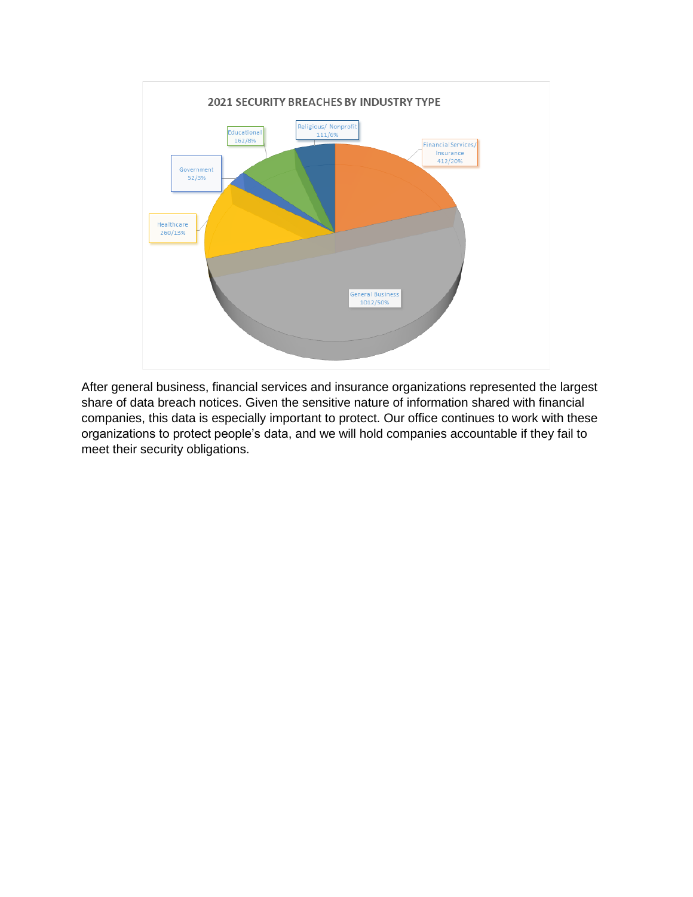

After general business, financial services and insurance organizations represented the largest share of data breach notices. Given the sensitive nature of information shared with financial companies, this data is especially important to protect. Our office continues to work with these organizations to protect people's data, and we will hold companies accountable if they fail to meet their security obligations.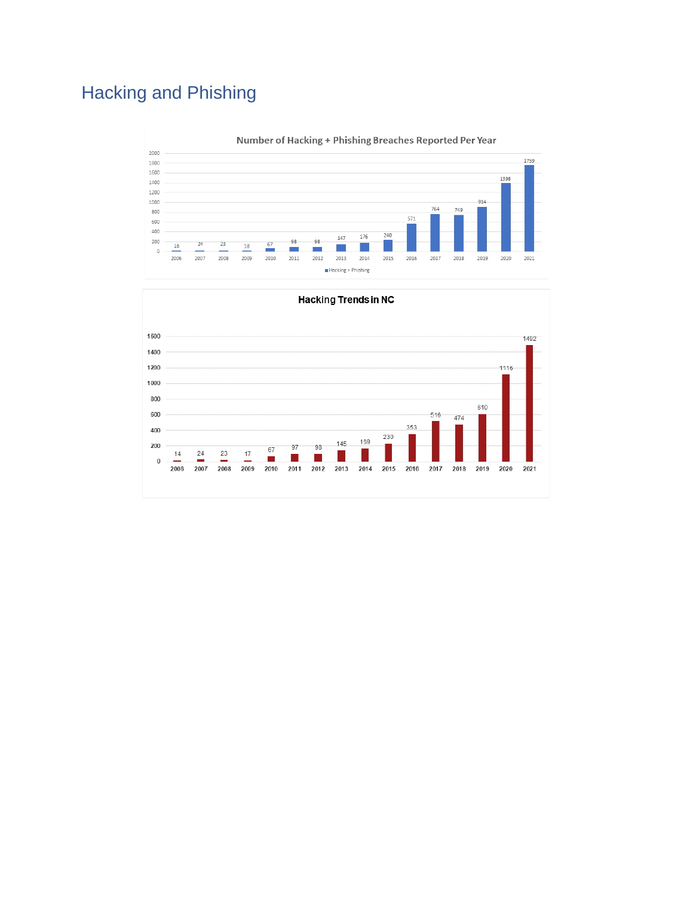# Hacking and Phishing



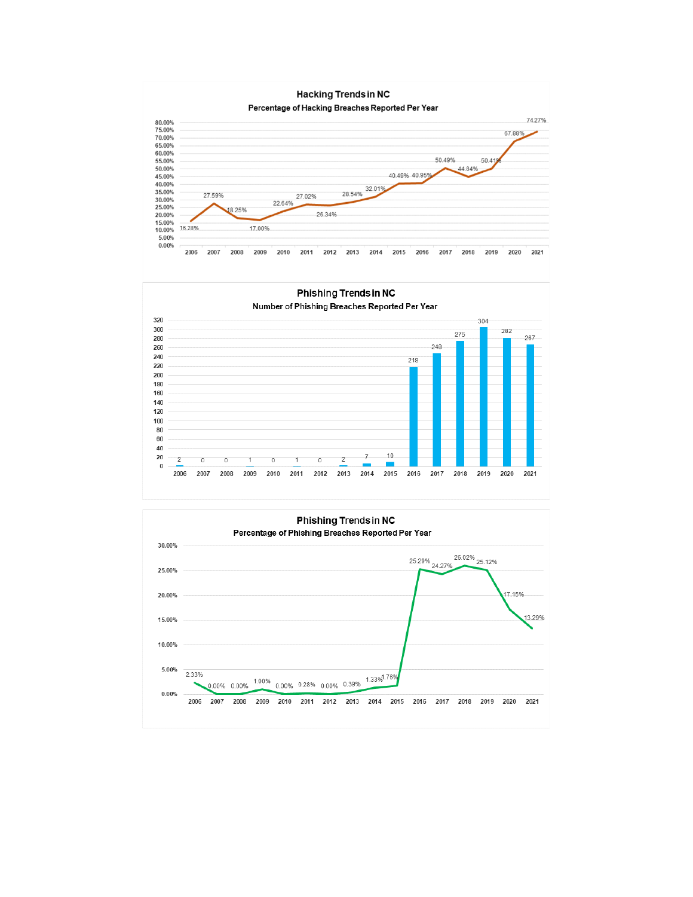

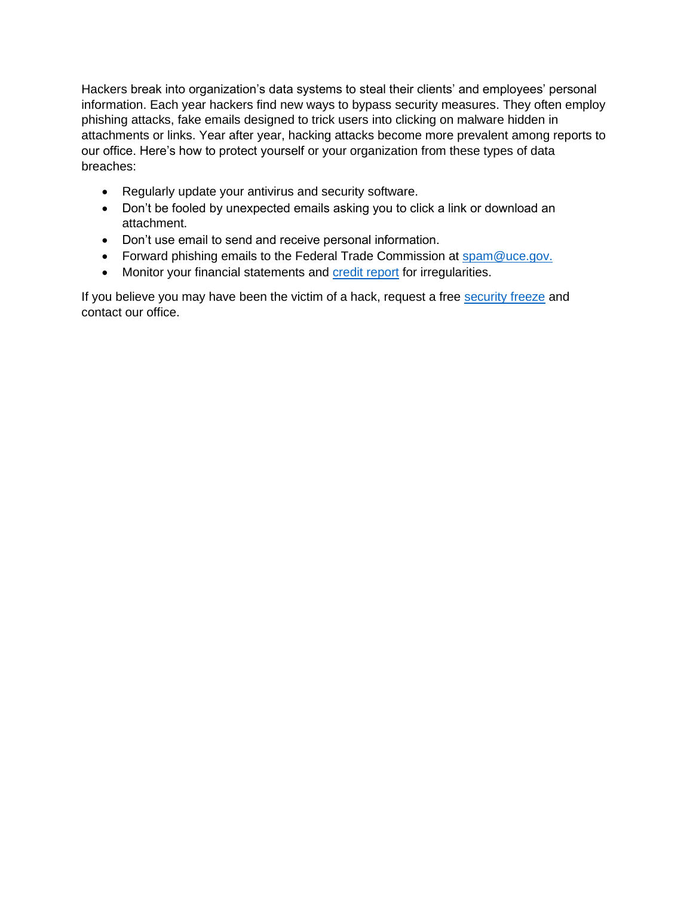Hackers break into organization's data systems to steal their clients' and employees' personal information. Each year hackers find new ways to bypass security measures. They often employ phishing attacks, fake emails designed to trick users into clicking on malware hidden in attachments or links. Year after year, hacking attacks become more prevalent among reports to our office. Here's how to protect yourself or your organization from these types of data breaches:

- Regularly update your antivirus and security software.
- Don't be fooled by unexpected emails asking you to click a link or download an attachment.
- Don't use email to send and receive personal information.
- Forward phishing emails to the Federal Trade Commission at [spam@uce.gov.](mailto:spam@uce.gov)
- Monitor your financial statements and [credit report](https://www.annualcreditreport.com/index.action) for irregularities.

If you believe you may have been the victim of a hack, request a free [security freeze](https://ncdoj.gov/protecting-consumers/protecting-your-identity/free-security-freeze/) and contact our office.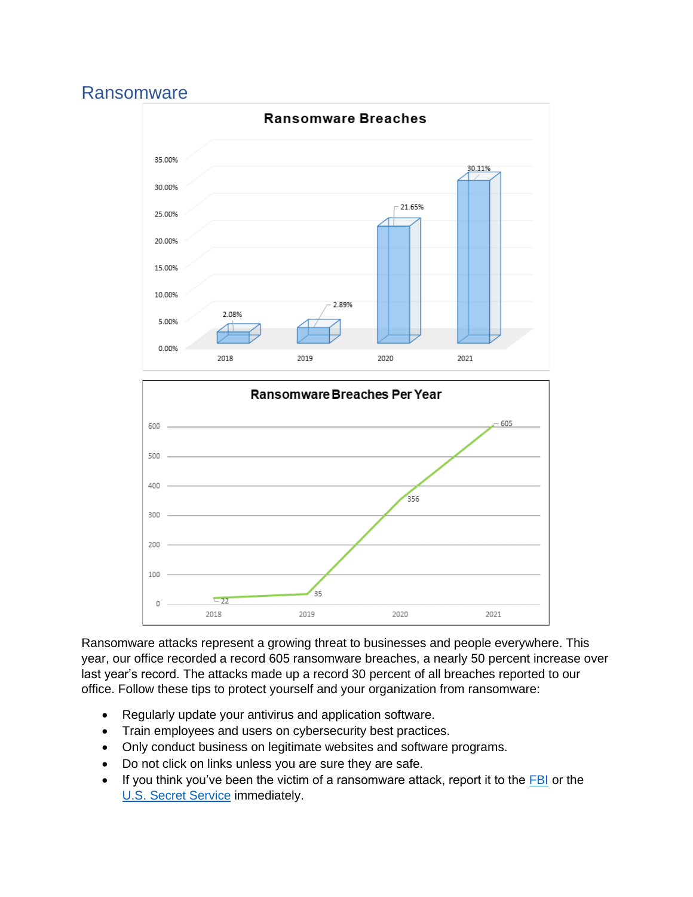#### Ransomware





Ransomware attacks represent a growing threat to businesses and people everywhere. This year, our office recorded a record 605 ransomware breaches, a nearly 50 percent increase over last year's record. The attacks made up a record 30 percent of all breaches reported to our office. Follow these tips to protect yourself and your organization from ransomware:

- Regularly update your antivirus and application software.
- Train employees and users on cybersecurity best practices.
- Only conduct business on legitimate websites and software programs.
- Do not click on links unless you are sure they are safe.
- If you think you've been the victim of a ransomware attack, report it to the [FBI](https://www.fbi.gov/scams-and-safety/common-scams-and-crimes/ransomware) or the [U.S. Secret Service](https://www.cisa.gov/stopransomware/report-ransomware-0) immediately.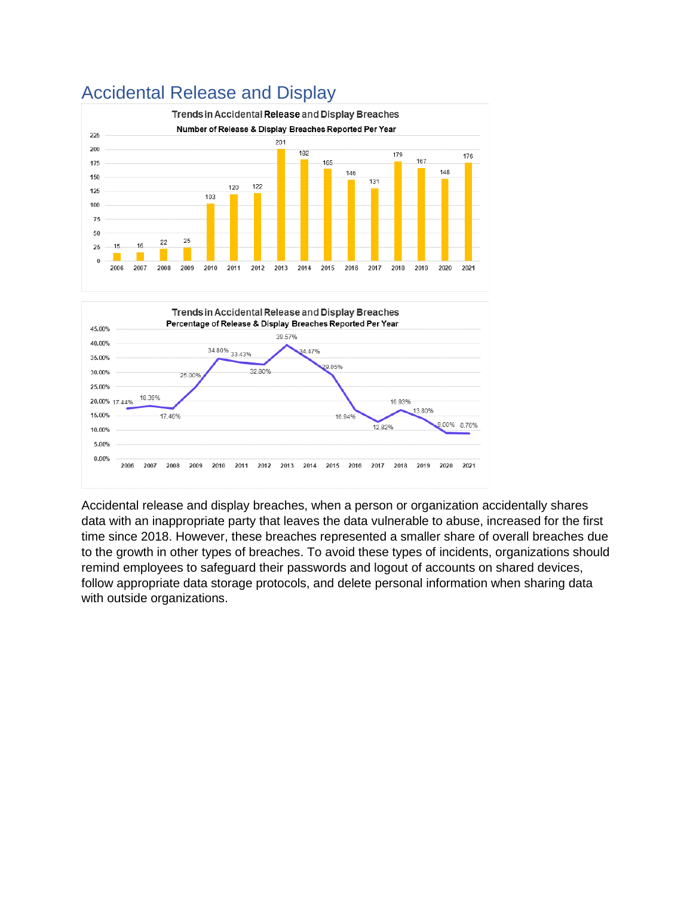

## Accidental Release and Display



Accidental release and display breaches, when a person or organization accidentally shares data with an inappropriate party that leaves the data vulnerable to abuse, increased for the first time since 2018. However, these breaches represented a smaller share of overall breaches due to the growth in other types of breaches. To avoid these types of incidents, organizations should remind employees to safeguard their passwords and logout of accounts on shared devices, follow appropriate data storage protocols, and delete personal information when sharing data with outside organizations.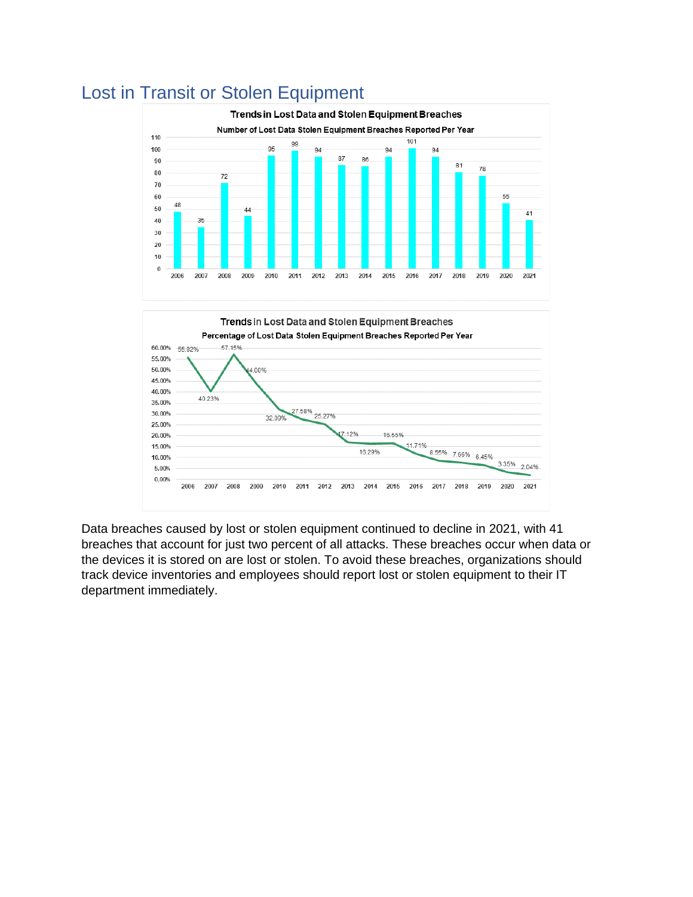

# Lost in Transit or Stolen Equipment

Data breaches caused by lost or stolen equipment continued to decline in 2021, with 41 breaches that account for just two percent of all attacks. These breaches occur when data or the devices it is stored on are lost or stolen. To avoid these breaches, organizations should track device inventories and employees should report lost or stolen equipment to their IT department immediately.